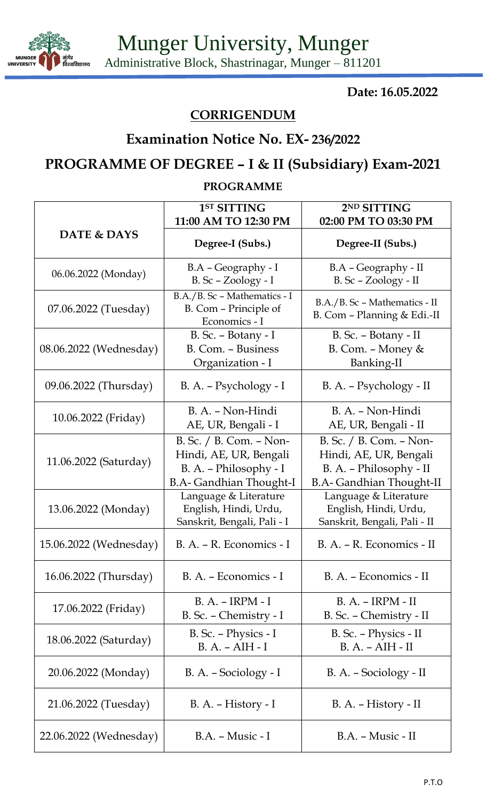Munger University, Munger



Administrative Block, Shastrinagar, Munger – 811201

 **Date: 16.05.2022**

### **CORRIGENDUM**

## **Examination Notice No. EX- 236/2022**

# **PROGRAMME OF DEGREE – I & II (Subsidiary) Exam-2021**

#### **PROGRAMME**

|                        | 1 <sup>ST</sup> SITTING<br>11:00 AM TO 12:30 PM                                                               | 2ND SITTING<br>02:00 PM TO 03:30 PM                                                                             |
|------------------------|---------------------------------------------------------------------------------------------------------------|-----------------------------------------------------------------------------------------------------------------|
| <b>DATE &amp; DAYS</b> | Degree-I (Subs.)                                                                                              | Degree-II (Subs.)                                                                                               |
| 06.06.2022 (Monday)    | B.A - Geography - I<br>$B.$ Sc – Zoology - I                                                                  | B.A - Geography - II<br>B. Sc - Zoology - II                                                                    |
| 07.06.2022 (Tuesday)   | B.A./B. Sc - Mathematics - I<br>B. Com - Principle of<br>Economics - I                                        | B.A./B. Sc - Mathematics - II<br>B. Com - Planning & Edi.-II                                                    |
| 08.06.2022 (Wednesday) | $B.$ Sc. – Botany - I<br>B. Com. - Business<br>Organization - I                                               | B. Sc. – Botany - II<br>B. Com. $-$ Money &<br>Banking-II                                                       |
| 09.06.2022 (Thursday)  | B. A. – Psychology - I                                                                                        | B. A. – Psychology - II                                                                                         |
| 10.06.2022 (Friday)    | B. A. - Non-Hindi<br>AE, UR, Bengali - I                                                                      | B. A. - Non-Hindi<br>AE, UR, Bengali - II                                                                       |
| 11.06.2022 (Saturday)  | B. Sc. / B. Com. - Non-<br>Hindi, AE, UR, Bengali<br>B. A. – Philosophy - I<br><b>B.A- Gandhian Thought-I</b> | B. Sc. / B. Com. - Non-<br>Hindi, AE, UR, Bengali<br>B. A. - Philosophy - II<br><b>B.A- Gandhian Thought-II</b> |
| 13.06.2022 (Monday)    | Language & Literature<br>English, Hindi, Urdu,<br>Sanskrit, Bengali, Pali - I                                 | Language & Literature<br>English, Hindi, Urdu,<br>Sanskrit, Bengali, Pali - II                                  |
| 15.06.2022 (Wednesday) | B. A. – R. Economics - I                                                                                      | B. A. – R. Economics - II                                                                                       |
| 16.06.2022 (Thursday)  | B. A. – Economics - I                                                                                         | B. A. – Economics - II                                                                                          |
| 17.06.2022 (Friday)    | $B. A. - IRPM - I$<br>B. Sc. - Chemistry - I                                                                  | $B. A. - IRPM - II$<br>B. Sc. - Chemistry - II                                                                  |
| 18.06.2022 (Saturday)  | B. Sc. – Physics - I<br>$B. A. - AIH - I$                                                                     | B. Sc. - Physics - II<br>$B. A. - AIH - II$                                                                     |
| 20.06.2022 (Monday)    | $B. A. - Sociology - I$                                                                                       | B. A. – Sociology - II                                                                                          |
| 21.06.2022 (Tuesday)   | $B. A. - History - I$                                                                                         | B. A. – History - II                                                                                            |
| 22.06.2022 (Wednesday) | $B.A. - Music - I$                                                                                            | $B.A. - Music - II$                                                                                             |